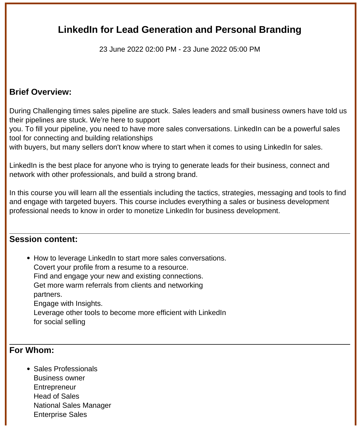# **LinkedIn for Lead Generation and Personal Branding**

23 June 2022 02:00 PM - 23 June 2022 05:00 PM

## **Brief Overview:**

During Challenging times sales pipeline are stuck. Sales leaders and small business owners have told us their pipelines are stuck. We're here to support

you. To fill your pipeline, you need to have more sales conversations. LinkedIn can be a powerful sales tool for connecting and building relationships

with buyers, but many sellers don't know where to start when it comes to using LinkedIn for sales.

LinkedIn is the best place for anyone who is trying to generate leads for their business, connect and network with other professionals, and build a strong brand.

In this course you will learn all the essentials including the tactics, strategies, messaging and tools to find and engage with targeted buyers. This course includes everything a sales or business development professional needs to know in order to monetize LinkedIn for business development.

### **Session content:**

• How to leverage LinkedIn to start more sales conversations. Covert your profile from a resume to a resource. Find and engage your new and existing connections. Get more warm referrals from clients and networking partners. Engage with Insights. Leverage other tools to become more efficient with LinkedIn for social selling

#### **For Whom:**

Sales Professionals Business owner **Entrepreneur** Head of Sales National Sales Manager Enterprise Sales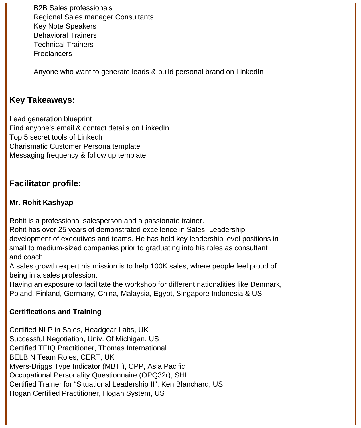B2B Sales professionals Regional Sales manager Consultants Key Note Speakers Behavioral Trainers Technical Trainers Freelancers

Anyone who want to generate leads & build personal brand on LinkedIn

## **Key Takeaways:**

Lead generation blueprint Find anyone's email & contact details on LinkedIn Top 5 secret tools of LinkedIn Charismatic Customer Persona template Messaging frequency & follow up template

## **Facilitator profile:**

#### **Mr. Rohit Kashyap**

Rohit is a professional salesperson and a passionate trainer.

Rohit has over 25 years of demonstrated excellence in Sales, Leadership development of executives and teams. He has held key leadership level positions in small to medium-sized companies prior to graduating into his roles as consultant and coach.

A sales growth expert his mission is to help 100K sales, where people feel proud of being in a sales profession.

Having an exposure to facilitate the workshop for different nationalities like Denmark, Poland, Finland, Germany, China, Malaysia, Egypt, Singapore Indonesia & US

#### **Certifications and Training**

Certified NLP in Sales, Headgear Labs, UK Successful Negotiation, Univ. Of Michigan, US Certified TEIQ Practitioner, Thomas International BELBIN Team Roles, CERT, UK Myers-Briggs Type Indicator (MBTI), CPP, Asia Pacific Occupational Personality Questionnaire (OPQ32r), SHL Certified Trainer for "Situational Leadership II", Ken Blanchard, US Hogan Certified Practitioner, Hogan System, US